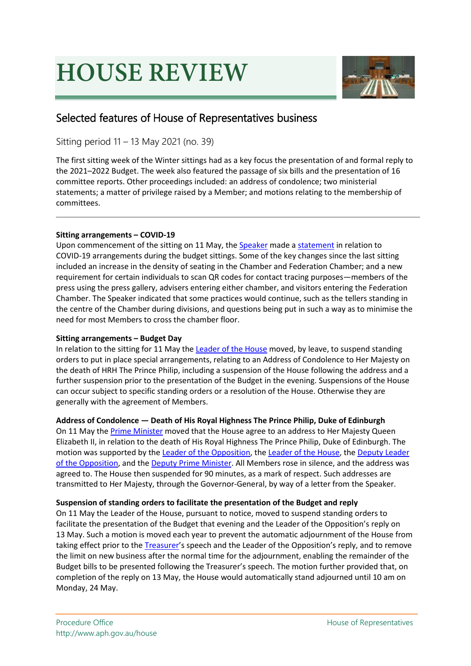# **HOUSE REVIEW**



# Selected features of House of Representatives business

Sitting period 11 – 13 May 2021 (no. 39)

The first sitting week of the Winter sittings had as a key focus the presentation of and formal reply to the 2021–2022 Budget. The week also featured the passage of six bills and the presentation of 16 committee reports. Other proceedings included: an address of condolence; two ministerial statements; a matter of privilege raised by a Member; and motions relating to the membership of committees.

# **Sitting arrangements – COVID-19**

Upon commencement of the sitting on 11 May, th[e Speaker](https://www.aph.gov.au/Senators_and_Members/Parliamentarian?MPID=00APG) made [a statement](https://parlinfo.aph.gov.au/parlInfo/search/display/display.w3p;adv=yes;db=CHAMBER;id=chamber%2Fhansardr%2F37baaa7f-238e-4f23-9899-07e75297e01c%2F0003;orderBy=customrank;page=0;query=%22STATEMENT%20BY%20THE%20SPEAKER%22%20Decade%3A%222020s%22;rec=2;resCount=Default) in relation to COVID-19 arrangements during the budget sittings. Some of the key changes since the last sitting included an increase in the density of seating in the Chamber and Federation Chamber; and a new requirement for certain individuals to scan QR codes for contact tracing purposes—members of the press using the press gallery, advisers entering either chamber, and visitors entering the Federation Chamber. The Speaker indicated that some practices would continue, such as the tellers standing in the centre of the Chamber during divisions, and questions being put in such a way as to minimise the need for most Members to cross the chamber floor.

# **Sitting arrangements – Budget Day**

In relation to the sitting for 11 May th[e Leader of the House](https://www.aph.gov.au/Senators_and_Members/Parliamentarian?MPID=00AKI) moved, by leave, to suspend standing orders to put in place special arrangements, relating to an Address of Condolence to Her Majesty on the death of HRH The Prince Philip, including a suspension of the House following the address and a further suspension prior to the presentation of the Budget in the evening. Suspensions of the House can occur subject to specific standing orders or a resolution of the House. Otherwise they are generally with the agreement of Members.

# **Address of Condolence — Death of His Royal Highness The Prince Philip, Duke of Edinburgh**

On 11 May th[e Prime Minister](https://www.aph.gov.au/Senators_and_Members/Parliamentarian?MPID=E3L) moved that the House agree to an address to Her Majesty Queen Elizabeth II, in relation to the death of His Royal Highness The Prince Philip, Duke of Edinburgh. The motion was supported by the [Leader of the Opposition,](https://www.aph.gov.au/Senators_and_Members/Parliamentarian?MPID=R36) the [Leader of the House,](https://www.aph.gov.au/Senators_and_Members/Parliamentarian?MPID=00AKI) the [Deputy Leader](https://www.aph.gov.au/Senators_and_Members/Parliamentarian?MPID=HWQ)  [of the Opposition,](https://www.aph.gov.au/Senators_and_Members/Parliamentarian?MPID=HWQ) and the [Deputy Prime Minister.](https://www.aph.gov.au/Senators_and_Members/Parliamentarian?MPID=219646) All Members rose in silence, and the address was agreed to. The House then suspended for 90 minutes, as a mark of respect. Such addresses are transmitted to Her Majesty, through the Governor-General, by way of a letter from the Speaker.

# **Suspension of standing orders to facilitate the presentation of the Budget and reply**

On 11 May the Leader of the House, pursuant to notice, moved to suspend standing orders to facilitate the presentation of the Budget that evening and the Leader of the Opposition's reply on 13 May. Such a motion is moved each year to prevent the automatic adjournment of the House from taking effect prior to the [Treasurer'](https://www.aph.gov.au/Senators_and_Members/Parliamentarian?MPID=FKL)s speech and the Leader of the Opposition's reply, and to remove the limit on new business after the normal time for the adjournment, enabling the remainder of the Budget bills to be presented following the Treasurer's speech. The motion further provided that, on completion of the reply on 13 May, the House would automatically stand adjourned until 10 am on Monday, 24 May.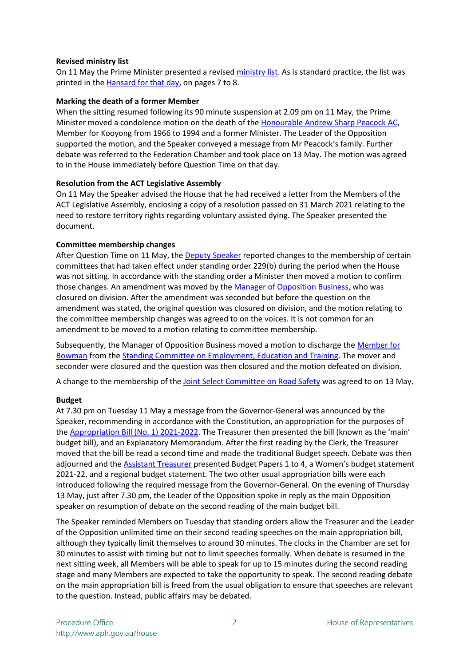### **Revised ministry list**

On 11 May the Prime Minister presented a revised [ministry list.](https://www.aph.gov.au/-/media/03_Senators_and_Members/32_Members/Lists/minlist.pdf?la=en&hash=94B652D23F69FE14B83FB94D00566174FC0BA8F1) As is standard practice, the list was printed in th[e Hansard for that day,](https://parlinfo.aph.gov.au/parlInfo/search/display/display.w3p;adv=yes;orderBy=date-eFirst;page=0;query=%22ministry%20list%22;rec=0;resCount=Default) on pages 7 to 8.

# **Marking the death of a former Member**

When the sitting resumed following its 90 minute suspension at 2.09 pm on 11 May, the Prime Minister moved a condolence motion on the death of the [Honourable Andrew Sharp Peacock AC,](https://parlinfo.aph.gov.au/parlInfo/search/display/display.w3p;query=Id:%22handbook/allmps/MI4%22) Member for Kooyong from 1966 to 1994 and a former Minister. The Leader of the Opposition supported the motion, and the Speaker conveyed a message from Mr Peacock's family. Further debate was referred to the Federation Chamber and took place on 13 May. The motion was agreed to in the House immediately before Question Time on that day.

# **Resolution from the ACT Legislative Assembly**

On 11 May the Speaker advised the House that he had received a letter from the Members of the ACT Legislative Assembly, enclosing a copy of a resolution passed on 31 March 2021 relating to the need to restore territory rights regarding voluntary assisted dying. The Speaker presented the document.

# **Committee membership changes**

After Question Time on 11 May, the [Deputy Speaker](https://www.aph.gov.au/Senators_and_Members/Parliamentarian?MPID=265991) reported changes to the membership of certain committees that had taken effect under standing order 229(b) during the period when the House was not sitting. In accordance with the standing order a Minister then moved a motion to confirm those changes. An amendment was moved by the [Manager of Opposition Business,](https://www.aph.gov.au/Senators_and_Members/Parliamentarian?MPID=DYW) who was closured on division. After the amendment was seconded but before the question on the amendment was stated, the original question was closured on division, and the motion relating to the committee membership changes was agreed to on the voices. It is not common for an amendment to be moved to a motion relating to committee membership.

Subsequently, the Manager of Opposition Business moved a motion to discharge th[e Member for](https://www.aph.gov.au/Senators_and_Members/Parliamentarian?MPID=E0H)  [Bowman](https://www.aph.gov.au/Senators_and_Members/Parliamentarian?MPID=E0H) from th[e Standing Committee on Employment,](https://www.aph.gov.au/Parliamentary_Business/Committees/House/Employment_Education_and_Training) Education and Training. The mover and seconder were closured and the question was then closured and the motion defeated on division.

A change to the membership of the [Joint Select Committee on Road Safety](https://www.aph.gov.au/Parliamentary_Business/Committees/Joint/Road_Safety_2021) was agreed to on 13 May.

# **Budget**

At 7.30 pm on Tuesday 11 May a message from the Governor-General was announced by the Speaker, recommending in accordance with the Constitution, an appropriation for the purposes of the [Appropriation Bill \(No. 1\) 2021-2022.](https://www.aph.gov.au/Parliamentary_Business/Bills_Legislation/Bills_Search_Results/Result?bId=r6709) The Treasurer then presented the bill (known as the 'main' budget bill), and an Explanatory Memorandum. After the first reading by the Clerk, the Treasurer moved that the bill be read a second time and made the traditional Budget speech. Debate was then adjourned and the [Assistant Treasurer](https://www.aph.gov.au/Senators_and_Members/Parliamentarian?MPID=242515) presented Budget Papers 1 to 4, a Women's budget statement 2021-22, and a regional budget statement. The two other usual appropriation bills were each introduced following the required message from the Governor-General. On the evening of Thursday 13 May, just after 7.30 pm, the Leader of the Opposition spoke in reply as the main Opposition speaker on resumption of debate on the second reading of the main budget bill.

The Speaker reminded Members on Tuesday that standing orders allow the Treasurer and the Leader of the Opposition unlimited time on their second reading speeches on the main appropriation bill, although they typically limit themselves to around 30 minutes. The clocks in the Chamber are set for 30 minutes to assist with timing but not to limit speeches formally. When debate is resumed in the next sitting week, all Members will be able to speak for up to 15 minutes during the second reading stage and many Members are expected to take the opportunity to speak. The second reading debate on the main appropriation bill is freed from the usual obligation to ensure that speeches are relevant to the question. Instead, public affairs may be debated.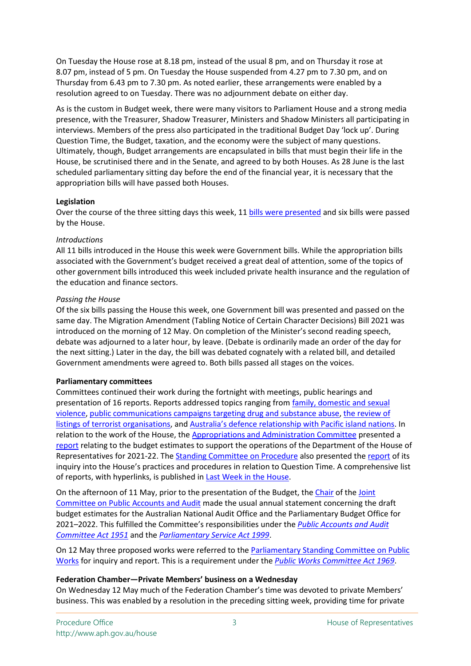On Tuesday the House rose at 8.18 pm, instead of the usual 8 pm, and on Thursday it rose at 8.07 pm, instead of 5 pm. On Tuesday the House suspended from 4.27 pm to 7.30 pm, and on Thursday from 6.43 pm to 7.30 pm. As noted earlier, these arrangements were enabled by a resolution agreed to on Tuesday. There was no adjournment debate on either day.

As is the custom in Budget week, there were many visitors to Parliament House and a strong media presence, with the Treasurer, Shadow Treasurer, Ministers and Shadow Ministers all participating in interviews. Members of the press also participated in the traditional Budget Day 'lock up'. During Question Time, the Budget, taxation, and the economy were the subject of many questions. Ultimately, though, Budget arrangements are encapsulated in bills that must begin their life in the House, be scrutinised there and in the Senate, and agreed to by both Houses. As 28 June is the last scheduled parliamentary sitting day before the end of the financial year, it is necessary that the appropriation bills will have passed both Houses.

#### **Legislation**

Over the course of the three sitting days this week, 11 [bills were presented](https://www.aph.gov.au/About_Parliament/House_of_Representatives/About_the_House_News/Last_week_in_the_House/Bills_debated) and six bills were passed by the House.

#### *Introductions*

All 11 bills introduced in the House this week were Government bills. While the appropriation bills associated with the Government's budget received a great deal of attention, some of the topics of other government bills introduced this week included private health insurance and the regulation of the education and finance sectors.

#### *Passing the House*

Of the six bills passing the House this week, one Government bill was presented and passed on the same day. The Migration Amendment (Tabling Notice of Certain Character Decisions) Bill 2021 was introduced on the morning of 12 May. On completion of the Minister's second reading speech, debate was adjourned to a later hour, by leave. (Debate is ordinarily made an order of the day for the next sitting.) Later in the day, the bill was debated cognately with a related bill, and detailed Government amendments were agreed to. Both bills passed all stages on the voices.

#### **Parliamentary committees**

Committees continued their work during the fortnight with meetings, public hearings and presentation of 16 reports. Reports addressed topics ranging from [family, domestic and sexual](https://www.aph.gov.au/Parliamentary_Business/Committees/House/Social_Policy_and_Legal_Affairs/Familyviolence/Report)  [violence,](https://www.aph.gov.au/Parliamentary_Business/Committees/House/Social_Policy_and_Legal_Affairs/Familyviolence/Report) [public communications campaigns targeting drug and substance abuse,](https://www.aph.gov.au/Parliamentary_Business/Committees/Joint/Law_Enforcement/CommsCampaignsDrugAbuse/Report) [the review of](https://www.aph.gov.au/Parliamentary_Business/Committees/Joint/Intelligence_and_Security/JaisheMohammad)  [listings of terrorist organisations,](https://www.aph.gov.au/Parliamentary_Business/Committees/Joint/Intelligence_and_Security/JaisheMohammad) and [Australia's defence relationship with Pacific island nations.](https://www.aph.gov.au/Parliamentary_Business/Committees/Joint/Foreign_Affairs_Defence_and_Trade/PacificIslandnations/Report) In relation to the work of the House, th[e Appropriations and Administration Committee](https://www.aph.gov.au/parliamentary_business/committees/house/appropriations_and_administration) presented a [report](https://www.aph.gov.au/-/media/02_Parliamentary_Business/24_Committees/243_Reps_Committees/AA/46p_Reports/Report_21_Budget_Estimates_2021-2022.PDF?la=en&hash=329990D9E3F85637BF995E64E04D5E70258CDD38) relating to the budget estimates to support the operations of the Department of the House of Representatives for 2021-22. The [Standing Committee on Procedure](https://www.aph.gov.au/Parliamentary_Business/Committees/House/Procedure) also presented the [report](https://www.aph.gov.au/Parliamentary_Business/Committees/House/Procedure/Questiontime/Report) of its inquiry into the House's practices and procedures in relation to Question Time. A comprehensive list of reports, with hyperlinks, is published in [Last Week in the House.](https://www.aph.gov.au/About_Parliament/House_of_Representatives/About_the_House_News/Last_week_in_the_House)

On the afternoon of 11 May, prior to the presentation of the Budget, th[e Chair](https://www.aph.gov.au/Senators_and_Members/Parliamentarian?MPID=241590) of the [Joint](https://www.aph.gov.au/parliamentary_business/committees/joint/public_accounts_and_audit)  [Committee on Public Accounts and Audit](https://www.aph.gov.au/parliamentary_business/committees/joint/public_accounts_and_audit) made the usual annual statement concerning the draft budget estimates for the Australian National Audit Office and the Parliamentary Budget Office for 2021–2022. This fulfilled the Committee's responsibilities under the *[Public Accounts and Audit](https://www.legislation.gov.au/Details/C2017C00109)  [Committee Act 1951](https://www.legislation.gov.au/Details/C2017C00109)* and the *[Parliamentary Service Act 1999](https://www.legislation.gov.au/Details/C2019C00092)*.

On 12 May three proposed works were referred to the [Parliamentary Standing Committee on Public](https://www.aph.gov.au/Parliamentary_Business/Committees/Joint/Public_Works)  [Works](https://www.aph.gov.au/Parliamentary_Business/Committees/Joint/Public_Works) for inquiry and report. This is a requirement under the *[Public Works Committee Act](https://www.legislation.gov.au/Details/C2017C00098) 1969*.

#### **Federation Chamber—Private Members' business on a Wednesday**

On Wednesday 12 May much of the Federation Chamber's time was devoted to private Members' business. This was enabled by a resolution in the preceding sitting week, providing time for private